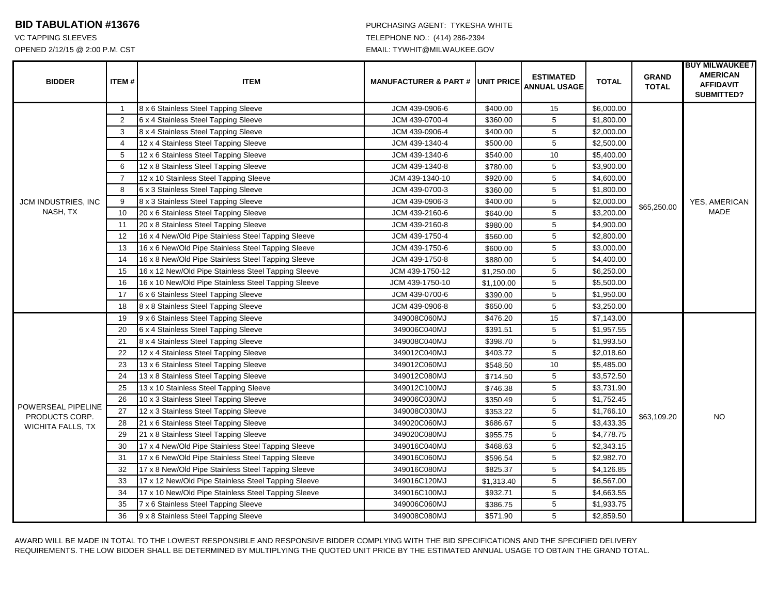## **BID TABULATION #13676 PURCHASING AGENT: TYKESHA WHITE**

## VC TAPPING SLEEVES TELEPHONE NO.: (414) 286-2394 OPENED 2/12/15 @ 2:00 P.M. CST EMAIL: TYWHIT@MILWAUKEE.GOV

| <b>BIDDER</b>                                             | <b>ITEM#</b>   | <b>ITEM</b>                                         | <b>MANUFACTURER &amp; PART # JUNIT PRICE</b> |            | <b>ESTIMATED</b><br><b>ANNUAL USAGE</b> | <b>TOTAL</b> | <b>GRAND</b><br><b>TOTAL</b> | <b>BUY MILWAUKEE /</b><br><b>AMERICAN</b><br><b>AFFIDAVIT</b><br><b>SUBMITTED?</b> |
|-----------------------------------------------------------|----------------|-----------------------------------------------------|----------------------------------------------|------------|-----------------------------------------|--------------|------------------------------|------------------------------------------------------------------------------------|
| JCM INDUSTRIES, INC<br>NASH, TX                           | $\mathbf{1}$   | 8 x 6 Stainless Steel Tapping Sleeve                | JCM 439-0906-6                               | \$400.00   | 15                                      | \$6,000.00   | \$65,250.00                  | YES, AMERICAN<br><b>MADE</b>                                                       |
|                                                           | 2              | 6 x 4 Stainless Steel Tapping Sleeve                | JCM 439-0700-4                               | \$360.00   | 5                                       | \$1,800.00   |                              |                                                                                    |
|                                                           | 3              | 8 x 4 Stainless Steel Tapping Sleeve                | JCM 439-0906-4                               | \$400.00   | 5                                       | \$2,000.00   |                              |                                                                                    |
|                                                           | $\overline{4}$ | 12 x 4 Stainless Steel Tapping Sleeve               | JCM 439-1340-4                               | \$500.00   | 5                                       | \$2,500.00   |                              |                                                                                    |
|                                                           | 5              | 12 x 6 Stainless Steel Tapping Sleeve               | JCM 439-1340-6                               | \$540.00   | 10                                      | \$5,400.00   |                              |                                                                                    |
|                                                           | 6              | 12 x 8 Stainless Steel Tapping Sleeve               | JCM 439-1340-8                               | \$780.00   | 5                                       | \$3,900.00   |                              |                                                                                    |
|                                                           | $\overline{7}$ | 12 x 10 Stainless Steel Tapping Sleeve              | JCM 439-1340-10                              | \$920.00   | 5                                       | \$4,600.00   |                              |                                                                                    |
|                                                           | 8              | 6 x 3 Stainless Steel Tapping Sleeve                | JCM 439-0700-3                               | \$360.00   | 5                                       | \$1,800.00   |                              |                                                                                    |
|                                                           | 9              | 8 x 3 Stainless Steel Tapping Sleeve                | JCM 439-0906-3                               | \$400.00   | 5                                       | \$2,000.00   |                              |                                                                                    |
|                                                           | 10             | 20 x 6 Stainless Steel Tapping Sleeve               | JCM 439-2160-6                               | \$640.00   | 5                                       | \$3,200.00   |                              |                                                                                    |
|                                                           | 11             | 20 x 8 Stainless Steel Tapping Sleeve               | JCM 439-2160-8                               | \$980.00   | 5                                       | \$4,900.00   |                              |                                                                                    |
|                                                           | 12             | 16 x 4 New/Old Pipe Stainless Steel Tapping Sleeve  | JCM 439-1750-4                               | \$560.00   | $\,$ 5 $\,$                             | \$2,800.00   |                              |                                                                                    |
|                                                           | 13             | 16 x 6 New/Old Pipe Stainless Steel Tapping Sleeve  | JCM 439-1750-6                               | \$600.00   | 5                                       | \$3,000.00   |                              |                                                                                    |
|                                                           | 14             | 16 x 8 New/Old Pipe Stainless Steel Tapping Sleeve  | JCM 439-1750-8                               | \$880.00   | $\,$ 5 $\,$                             | \$4,400.00   |                              |                                                                                    |
|                                                           | 15             | 16 x 12 New/Old Pipe Stainless Steel Tapping Sleeve | JCM 439-1750-12                              | \$1,250.00 | 5                                       | \$6,250.00   |                              |                                                                                    |
|                                                           | 16             | 16 x 10 New/Old Pipe Stainless Steel Tapping Sleeve | JCM 439-1750-10                              | \$1,100.00 | $\,$ 5 $\,$                             | \$5,500.00   |                              |                                                                                    |
|                                                           | 17             | 6 x 6 Stainless Steel Tapping Sleeve                | JCM 439-0700-6                               | \$390.00   | 5                                       | \$1,950.00   |                              |                                                                                    |
|                                                           | 18             | 8 x 8 Stainless Steel Tapping Sleeve                | JCM 439-0906-8                               | \$650.00   | 5                                       | \$3,250.00   |                              |                                                                                    |
| POWERSEAL PIPELINE<br>PRODUCTS CORP.<br>WICHITA FALLS, TX | 19             | 9 x 6 Stainless Steel Tapping Sleeve                | 349008C060MJ                                 | \$476.20   | 15                                      | \$7,143.00   | \$63,109.20                  | <b>NO</b>                                                                          |
|                                                           | 20             | 6 x 4 Stainless Steel Tapping Sleeve                | 349006C040MJ                                 | \$391.51   | 5                                       | \$1,957.55   |                              |                                                                                    |
|                                                           | 21             | 8 x 4 Stainless Steel Tapping Sleeve                | 349008C040MJ                                 | \$398.70   | 5                                       | \$1,993.50   |                              |                                                                                    |
|                                                           | 22             | 12 x 4 Stainless Steel Tapping Sleeve               | 349012C040MJ                                 | \$403.72   | 5                                       | \$2,018.60   |                              |                                                                                    |
|                                                           | 23             | 13 x 6 Stainless Steel Tapping Sleeve               | 349012C060MJ                                 | \$548.50   | 10                                      | \$5,485.00   |                              |                                                                                    |
|                                                           | 24             | 13 x 8 Stainless Steel Tapping Sleeve               | 349012C080MJ                                 | \$714.50   | 5                                       | \$3,572.50   |                              |                                                                                    |
|                                                           | 25             | 13 x 10 Stainless Steel Tapping Sleeve              | 349012C100MJ                                 | \$746.38   | 5                                       | \$3,731.90   |                              |                                                                                    |
|                                                           | 26             | 10 x 3 Stainless Steel Tapping Sleeve               | 349006C030MJ                                 | \$350.49   | 5                                       | \$1,752.45   |                              |                                                                                    |
|                                                           | 27             | 12 x 3 Stainless Steel Tapping Sleeve               | 349008C030MJ                                 | \$353.22   | 5                                       | \$1,766.10   |                              |                                                                                    |
|                                                           | 28             | 21 x 6 Stainless Steel Tapping Sleeve               | 349020C060MJ                                 | \$686.67   | 5                                       | \$3,433.35   |                              |                                                                                    |
|                                                           | 29             | 21 x 8 Stainless Steel Tapping Sleeve               | 349020C080MJ                                 | \$955.75   | 5                                       | \$4,778.75   |                              |                                                                                    |
|                                                           | 30             | 17 x 4 New/Old Pipe Stainless Steel Tapping Sleeve  | 349016C040MJ                                 | \$468.63   | 5                                       | \$2,343.15   |                              |                                                                                    |
|                                                           | 31             | 17 x 6 New/Old Pipe Stainless Steel Tapping Sleeve  | 349016C060MJ                                 | \$596.54   | $\,$ 5 $\,$                             | \$2,982.70   |                              |                                                                                    |
|                                                           | 32             | 17 x 8 New/Old Pipe Stainless Steel Tapping Sleeve  | 349016C080MJ                                 | \$825.37   | 5                                       | \$4,126.85   |                              |                                                                                    |
|                                                           | 33             | 17 x 12 New/Old Pipe Stainless Steel Tapping Sleeve | 349016C120MJ                                 | \$1,313.40 | 5                                       | \$6,567.00   |                              |                                                                                    |
|                                                           | 34             | 17 x 10 New/Old Pipe Stainless Steel Tapping Sleeve | 349016C100MJ                                 | \$932.71   | 5                                       | \$4,663.55   |                              |                                                                                    |
|                                                           | 35             | 7 x 6 Stainless Steel Tapping Sleeve                | 349006C060MJ                                 | \$386.75   | 5                                       | \$1,933.75   |                              |                                                                                    |
|                                                           | 36             | 9 x 8 Stainless Steel Tapping Sleeve                | 349008C080MJ                                 | \$571.90   | 5                                       | \$2,859.50   |                              |                                                                                    |

AWARD WILL BE MADE IN TOTAL TO THE LOWEST RESPONSIBLE AND RESPONSIVE BIDDER COMPLYING WITH THE BID SPECIFICATIONS AND THE SPECIFIED DELIVERY REQUIREMENTS. THE LOW BIDDER SHALL BE DETERMINED BY MULTIPLYING THE QUOTED UNIT PRICE BY THE ESTIMATED ANNUAL USAGE TO OBTAIN THE GRAND TOTAL.